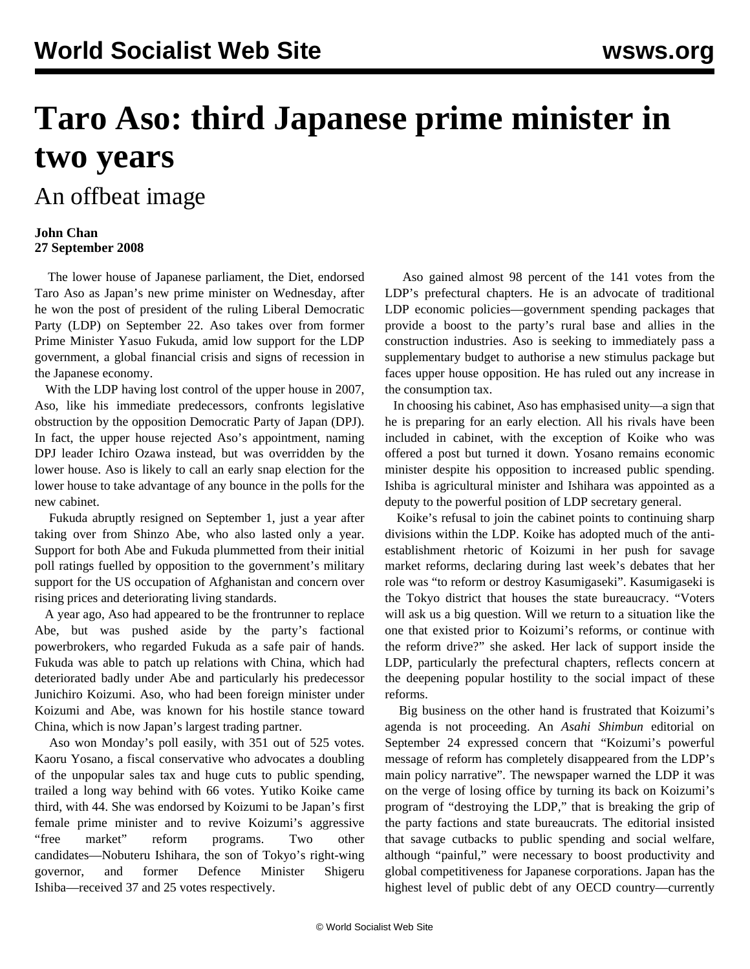# **Taro Aso: third Japanese prime minister in two years**

## An offbeat image

#### **John Chan 27 September 2008**

 The lower house of Japanese parliament, the Diet, endorsed Taro Aso as Japan's new prime minister on Wednesday, after he won the post of president of the ruling Liberal Democratic Party (LDP) on September 22. Aso takes over from former Prime Minister Yasuo Fukuda, amid low support for the LDP government, a global financial crisis and signs of recession in the Japanese economy.

 With the LDP having lost control of the upper house in 2007, Aso, like his immediate predecessors, confronts legislative obstruction by the opposition Democratic Party of Japan (DPJ). In fact, the upper house rejected Aso's appointment, naming DPJ leader Ichiro Ozawa instead, but was overridden by the lower house. Aso is likely to call an early snap election for the lower house to take advantage of any bounce in the polls for the new cabinet.

 Fukuda abruptly resigned on September 1, just a year after taking over from Shinzo Abe, who also lasted only a year. Support for both Abe and Fukuda plummetted from their initial poll ratings fuelled by opposition to the government's military support for the US occupation of Afghanistan and concern over rising prices and deteriorating living standards.

 A year ago, Aso had appeared to be the frontrunner to replace Abe, but was pushed aside by the party's factional powerbrokers, who regarded Fukuda as a safe pair of hands. Fukuda was able to patch up relations with China, which had deteriorated badly under Abe and particularly his predecessor Junichiro Koizumi. Aso, who had been foreign minister under Koizumi and Abe, was known for his hostile stance toward China, which is now Japan's largest trading partner.

 Aso won Monday's poll easily, with 351 out of 525 votes. Kaoru Yosano, a fiscal conservative who advocates a doubling of the unpopular sales tax and huge cuts to public spending, trailed a long way behind with 66 votes. Yutiko Koike came third, with 44. She was endorsed by Koizumi to be Japan's first female prime minister and to revive Koizumi's aggressive "free market" reform programs. Two other candidates—Nobuteru Ishihara, the son of Tokyo's right-wing governor, and former Defence Minister Shigeru Ishiba—received 37 and 25 votes respectively.

 Aso gained almost 98 percent of the 141 votes from the LDP's prefectural chapters. He is an advocate of traditional LDP economic policies—government spending packages that provide a boost to the party's rural base and allies in the construction industries. Aso is seeking to immediately pass a supplementary budget to authorise a new stimulus package but faces upper house opposition. He has ruled out any increase in the consumption tax.

 In choosing his cabinet, Aso has emphasised unity—a sign that he is preparing for an early election. All his rivals have been included in cabinet, with the exception of Koike who was offered a post but turned it down. Yosano remains economic minister despite his opposition to increased public spending. Ishiba is agricultural minister and Ishihara was appointed as a deputy to the powerful position of LDP secretary general.

 Koike's refusal to join the cabinet points to continuing sharp divisions within the LDP. Koike has adopted much of the antiestablishment rhetoric of Koizumi in her push for savage market reforms, declaring during last week's debates that her role was "to reform or destroy Kasumigaseki". Kasumigaseki is the Tokyo district that houses the state bureaucracy. "Voters will ask us a big question. Will we return to a situation like the one that existed prior to Koizumi's reforms, or continue with the reform drive?" she asked. Her lack of support inside the LDP, particularly the prefectural chapters, reflects concern at the deepening popular hostility to the social impact of these reforms.

 Big business on the other hand is frustrated that Koizumi's agenda is not proceeding. An *Asahi Shimbun* editorial on September 24 expressed concern that "Koizumi's powerful message of reform has completely disappeared from the LDP's main policy narrative". The newspaper warned the LDP it was on the verge of losing office by turning its back on Koizumi's program of "destroying the LDP," that is breaking the grip of the party factions and state bureaucrats. The editorial insisted that savage cutbacks to public spending and social welfare, although "painful," were necessary to boost productivity and global competitiveness for Japanese corporations. Japan has the highest level of public debt of any OECD country—currently